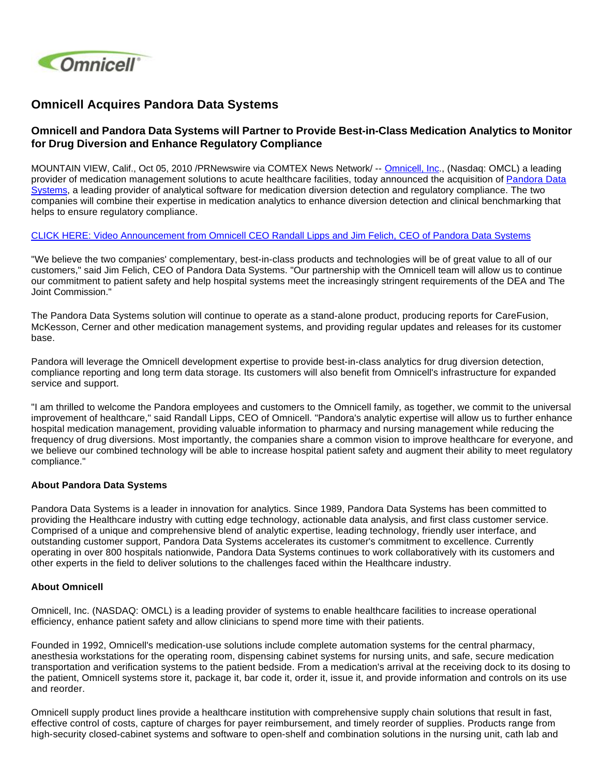

# **Omnicell Acquires Pandora Data Systems**

## **Omnicell and Pandora Data Systems will Partner to Provide Best-in-Class Medication Analytics to Monitor for Drug Diversion and Enhance Regulatory Compliance**

MOUNTAIN VIEW, Calif., Oct 05, 2010 /PRNewswire via COMTEX News Network/ -- [Omnicell, Inc](http://www.omnicell.com/)., (Nasdaq: OMCL) a leading provider of medication management solutions to acute healthcare facilities, today announced the acquisition of [Pandora Data](http://www.pandoradatasystems.com/)  [Systems,](http://www.pandoradatasystems.com/) a leading provider of analytical software for medication diversion detection and regulatory compliance. The two companies will combine their expertise in medication analytics to enhance diversion detection and clinical benchmarking that helps to ensure regulatory compliance.

#### [CLICK HERE: Video Announcement from Omnicell CEO Randall Lipps and Jim Felich, CEO of Pandora Data Systems](http://www.youtube.com/watch_popup?v=KKNYeTOptac&vq=medium)

"We believe the two companies' complementary, best-in-class products and technologies will be of great value to all of our customers," said Jim Felich, CEO of Pandora Data Systems. "Our partnership with the Omnicell team will allow us to continue our commitment to patient safety and help hospital systems meet the increasingly stringent requirements of the DEA and The Joint Commission."

The Pandora Data Systems solution will continue to operate as a stand-alone product, producing reports for CareFusion, McKesson, Cerner and other medication management systems, and providing regular updates and releases for its customer base.

Pandora will leverage the Omnicell development expertise to provide best-in-class analytics for drug diversion detection, compliance reporting and long term data storage. Its customers will also benefit from Omnicell's infrastructure for expanded service and support.

"I am thrilled to welcome the Pandora employees and customers to the Omnicell family, as together, we commit to the universal improvement of healthcare," said Randall Lipps, CEO of Omnicell. "Pandora's analytic expertise will allow us to further enhance hospital medication management, providing valuable information to pharmacy and nursing management while reducing the frequency of drug diversions. Most importantly, the companies share a common vision to improve healthcare for everyone, and we believe our combined technology will be able to increase hospital patient safety and augment their ability to meet regulatory compliance."

#### **About Pandora Data Systems**

Pandora Data Systems is a leader in innovation for analytics. Since 1989, Pandora Data Systems has been committed to providing the Healthcare industry with cutting edge technology, actionable data analysis, and first class customer service. Comprised of a unique and comprehensive blend of analytic expertise, leading technology, friendly user interface, and outstanding customer support, Pandora Data Systems accelerates its customer's commitment to excellence. Currently operating in over 800 hospitals nationwide, Pandora Data Systems continues to work collaboratively with its customers and other experts in the field to deliver solutions to the challenges faced within the Healthcare industry.

#### **About Omnicell**

Omnicell, Inc. (NASDAQ: OMCL) is a leading provider of systems to enable healthcare facilities to increase operational efficiency, enhance patient safety and allow clinicians to spend more time with their patients.

Founded in 1992, Omnicell's medication-use solutions include complete automation systems for the central pharmacy, anesthesia workstations for the operating room, dispensing cabinet systems for nursing units, and safe, secure medication transportation and verification systems to the patient bedside. From a medication's arrival at the receiving dock to its dosing to the patient, Omnicell systems store it, package it, bar code it, order it, issue it, and provide information and controls on its use and reorder.

Omnicell supply product lines provide a healthcare institution with comprehensive supply chain solutions that result in fast, effective control of costs, capture of charges for payer reimbursement, and timely reorder of supplies. Products range from high-security closed-cabinet systems and software to open-shelf and combination solutions in the nursing unit, cath lab and